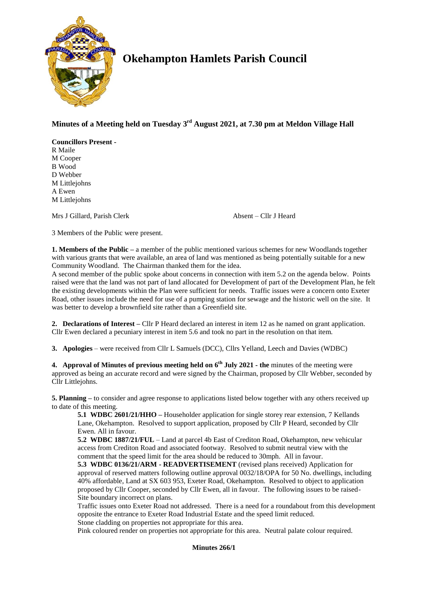

# **Okehampton Hamlets Parish Council**

# **Minutes of a Meeting held on Tuesday 3 rd August 2021, at 7.30 pm at Meldon Village Hall**

**Councillors Present -** R Maile M Cooper B Wood D Webber M Littlejohns A Ewen M Littlejohns

Mrs J Gillard, Parish Clerk Absent – Cllr J Heard

3 Members of the Public were present.

**1. Members of the Public –** a member of the public mentioned various schemes for new Woodlands together with various grants that were available, an area of land was mentioned as being potentially suitable for a new Community Woodland. The Chairman thanked them for the idea.

A second member of the public spoke about concerns in connection with item 5.2 on the agenda below. Points raised were that the land was not part of land allocated for Development of part of the Development Plan, he felt the existing developments within the Plan were sufficient for needs. Traffic issues were a concern onto Exeter Road, other issues include the need for use of a pumping station for sewage and the historic well on the site. It was better to develop a brownfield site rather than a Greenfield site.

**2. Declarations of Interest –** Cllr P Heard declared an interest in item 12 as he named on grant application. Cllr Ewen declared a pecuniary interest in item 5.6 and took no part in the resolution on that item.

**3. Apologies** – were received from Cllr L Samuels (DCC), Cllrs Yelland, Leech and Davies (WDBC)

**4. Approval of Minutes of previous meeting held on 6 th July 2021 - the** minutes of the meeting were approved as being an accurate record and were signed by the Chairman, proposed by Cllr Webber, seconded by Cllr Littlejohns.

**5. Planning –** to consider and agree response to applications listed below together with any others received up to date of this meeting.

**5.1 WDBC 2601/21/HHO –** Householder application for single storey rear extension, 7 Kellands Lane, Okehampton. Resolved to support application, proposed by Cllr P Heard, seconded by Cllr Ewen. All in favour.

**5.2 WDBC 1887/21/FUL** – Land at parcel 4b East of Crediton Road, Okehampton, new vehicular access from Crediton Road and associated footway. Resolved to submit neutral view with the comment that the speed limit for the area should be reduced to 30mph. All in favour.

**5.3 WDBC 0136/21/ARM - READVERTISEMENT** (revised plans received) Application for approval of reserved matters following outline approval 0032/18/OPA for 50 No. dwellings, including 40% affordable, Land at SX 603 953, Exeter Road, Okehampton. Resolved to object to application proposed by Cllr Cooper, seconded by Cllr Ewen, all in favour. The following issues to be raised-Site boundary incorrect on plans.

Traffic issues onto Exeter Road not addressed. There is a need for a roundabout from this development opposite the entrance to Exeter Road Industrial Estate and the speed limit reduced.

Stone cladding on properties not appropriate for this area.

Pink coloured render on properties not appropriate for this area. Neutral palate colour required.

# **Minutes 266/1**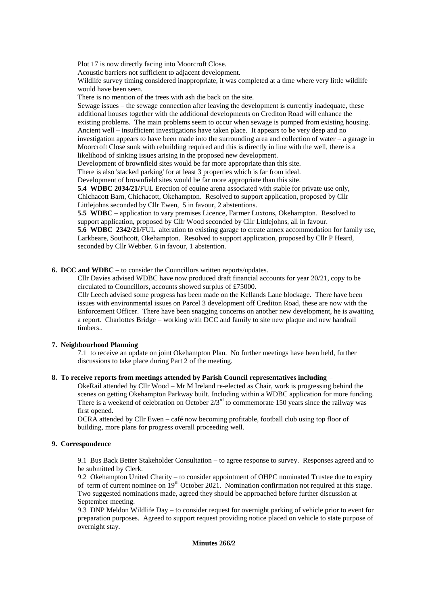Plot 17 is now directly facing into Moorcroft Close.

Acoustic barriers not sufficient to adjacent development.

Wildlife survey timing considered inappropriate, it was completed at a time where very little wildlife would have been seen.

There is no mention of the trees with ash die back on the site.

Sewage issues – the sewage connection after leaving the development is currently inadequate, these additional houses together with the additional developments on Crediton Road will enhance the existing problems. The main problems seem to occur when sewage is pumped from existing housing. Ancient well – insufficient investigations have taken place. It appears to be very deep and no investigation appears to have been made into the surrounding area and collection of water – a garage in Moorcroft Close sunk with rebuilding required and this is directly in line with the well, there is a likelihood of sinking issues arising in the proposed new development.

Development of brownfield sites would be far more appropriate than this site.

There is also 'stacked parking' for at least 3 properties which is far from ideal.

Development of brownfield sites would be far more appropriate than this site.

**5.4 WDBC 2034/21/**FUL Erection of equine arena associated with stable for private use only, Chichacott Barn, Chichacott, Okehampton. Resolved to support application, proposed by Cllr Littlejohns seconded by Cllr Ewen, 5 in favour, 2 abstentions.

**5.5 WDBC –** application to vary premises Licence, Farmer Luxtons, Okehampton. Resolved to support application, proposed by Cllr Wood seconded by Cllr Littlejohns, all in favour.

**5.6 WDBC 2342/21/**FUL alteration to existing garage to create annex accommodation for family use, Larkbeare, Southcott, Okehampton. Resolved to support application, proposed by Cllr P Heard, seconded by Cllr Webber. 6 in favour, 1 abstention.

# **6. DCC and WDBC –** to consider the Councillors written reports/updates.

Cllr Davies advised WDBC have now produced draft financial accounts for year 20/21, copy to be circulated to Councillors, accounts showed surplus of £75000.

Cllr Leech advised some progress has been made on the Kellands Lane blockage. There have been issues with environmental issues on Parcel 3 development off Crediton Road, these are now with the Enforcement Officer. There have been snagging concerns on another new development, he is awaiting a report. Charlottes Bridge – working with DCC and family to site new plaque and new handrail timbers..

# **7. Neighbourhood Planning**

7.1 to receive an update on joint Okehampton Plan. No further meetings have been held, further discussions to take place during Part 2 of the meeting.

# **8. To receive reports from meetings attended by Parish Council representatives including** –

OkeRail attended by Cllr Wood – Mr M Ireland re-elected as Chair, work is progressing behind the scenes on getting Okehampton Parkway built. Including within a WDBC application for more funding. There is a weekend of celebration on October  $2/3<sup>rd</sup>$  to commemorate 150 years since the railway was first opened.

OCRA attended by Cllr Ewen – café now becoming profitable, football club using top floor of building, more plans for progress overall proceeding well.

# **9. Correspondence**

9.1 Bus Back Better Stakeholder Consultation – to agree response to survey. Responses agreed and to be submitted by Clerk.

9.2 Okehampton United Charity – to consider appointment of OHPC nominated Trustee due to expiry of term of current nominee on 19<sup>th</sup> October 2021. Nomination confirmation not required at this stage. Two suggested nominations made, agreed they should be approached before further discussion at September meeting.

9.3 DNP Meldon Wildlife Day – to consider request for overnight parking of vehicle prior to event for preparation purposes. Agreed to support request providing notice placed on vehicle to state purpose of overnight stay.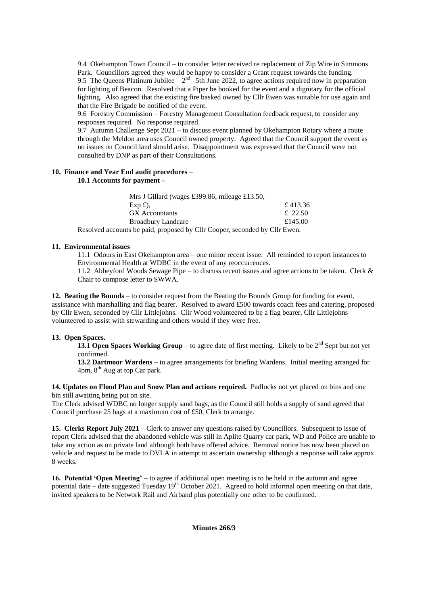9.4 Okehampton Town Council – to consider letter received re replacement of Zip Wire in Simmons Park. Councillors agreed they would be happy to consider a Grant request towards the funding. 9.5 The Queens Platinum Jubilee  $-2<sup>nd</sup> -5th$  June 2022, to agree actions required now in preparation for lighting of Beacon. Resolved that a Piper be booked for the event and a dignitary for the official lighting. Also agreed that the existing fire basked owned by Cllr Ewen was suitable for use again and that the Fire Brigade be notified of the event.

9.6 Forestry Commission – Forestry Management Consultation feedback request, to consider any responses required. No response required.

9.7 Autumn Challenge Sept 2021 – to discuss event planned by Okehampton Rotary where a route through the Meldon area uses Council owned property. Agreed that the Council support the event as no issues on Council land should arise. Disappointment was expressed that the Council were not consulted by DNP as part of their Consultations.

# **10. Finance and Year End audit procedures** –

#### **10.1 Accounts for payment –**

| Mrs J Gillard (wages £399.86, mileage £13.50,                              |         |
|----------------------------------------------------------------------------|---------|
| $Exp f$ .                                                                  | £413.36 |
| <b>GX</b> Accountants                                                      | £ 22.50 |
| <b>Broadbury Landcare</b>                                                  | £145.00 |
| Resolved accounts be paid, proposed by Cllr Cooper, seconded by Cllr Ewen. |         |

#### **11. Environmental issues**

11.1 Odours in East Okehampton area – one minor recent issue. All reminded to report instances to Environmental Health at WDBC in the event of any reoccurrences.

11.2 Abbeyford Woods Sewage Pipe – to discuss recent issues and agree actions to be taken. Clerk & Chair to compose letter to SWWA.

**12. Beating the Bounds** – to consider request from the Beating the Bounds Group for funding for event, assistance with marshalling and flag bearer. Resolved to award £500 towards coach fees and catering, proposed by Cllr Ewen, seconded by Cllr Littlejohns. Cllr Wood volunteered to be a flag bearer, Cllr Littlejohns volunteered to assist with stewarding and others would if they were free.

# **13. Open Spaces.**

**13.1 Open Spaces Working Group** – to agree date of first meeting. Likely to be  $2^{nd}$  Sept but not vet confirmed.

**13.2 Dartmoor Wardens** – to agree arrangements for briefing Wardens. Initial meeting arranged for  $4$ pm,  $8<sup>th</sup>$  Aug at top Car park.

**14. Updates on Flood Plan and Snow Plan and actions required.** Padlocks not yet placed on bins and one bin still awaiting being put on site.

The Clerk advised WDBC no longer supply sand bags, as the Council still holds a supply of sand agreed that Council purchase 25 bags at a maximum cost of £50, Clerk to arrange.

**15. Clerks Report July 2021** – Clerk to answer any questions raised by Councillors. Subsequent to issue of report Clerk advised that the abandoned vehicle was still in Aplite Quarry car park, WD and Police are unable to take any action as on private land although both have offered advice. Removal notice has now been placed on vehicle and request to be made to DVLA in attempt to ascertain ownership although a response will take approx 8 weeks.

**16. Potential 'Open Meeting'** – to agree if additional open meeting is to be held in the autumn and agree potential date – date suggested Tuesday  $19^{th}$  October 2021. Agreed to hold informal open meeting on that date, invited speakers to be Network Rail and Airband plus potentially one other to be confirmed.